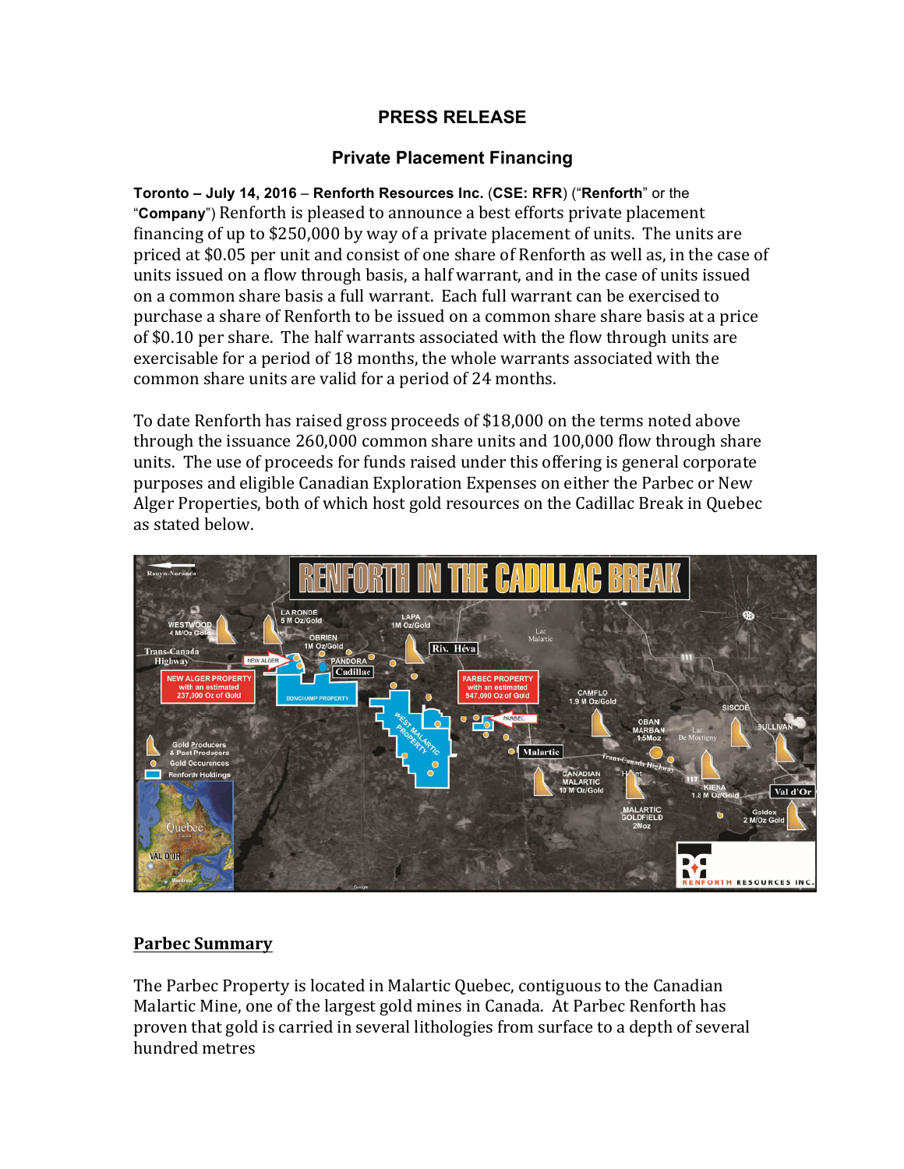# **PRESS RELEASE**

# **Private Placement Financing**

**Toronto – July 14, 2016** – **Renforth Resources Inc.** (**CSE: RFR**) ("**Renforth**" or the "**Company**") Renforth is pleased to announce a best efforts private placement financing of up to  $$250,000$  by way of a private placement of units. The units are priced at \$0.05 per unit and consist of one share of Renforth as well as, in the case of units issued on a flow through basis, a half warrant, and in the case of units issued on a common share basis a full warrant. Each full warrant can be exercised to purchase a share of Renforth to be issued on a common share share basis at a price of \$0.10 per share. The half warrants associated with the flow through units are exercisable for a period of 18 months, the whole warrants associated with the common share units are valid for a period of 24 months.

To date Renforth has raised gross proceeds of \$18,000 on the terms noted above through the issuance  $260,000$  common share units and  $100,000$  flow through share units. The use of proceeds for funds raised under this offering is general corporate purposes and eligible Canadian Exploration Expenses on either the Parbec or New Alger Properties, both of which host gold resources on the Cadillac Break in Quebec as stated below.



## **Parbec Summary**

The Parbec Property is located in Malartic Quebec, contiguous to the Canadian Malartic Mine, one of the largest gold mines in Canada. At Parbec Renforth has proven that gold is carried in several lithologies from surface to a depth of several hundred metres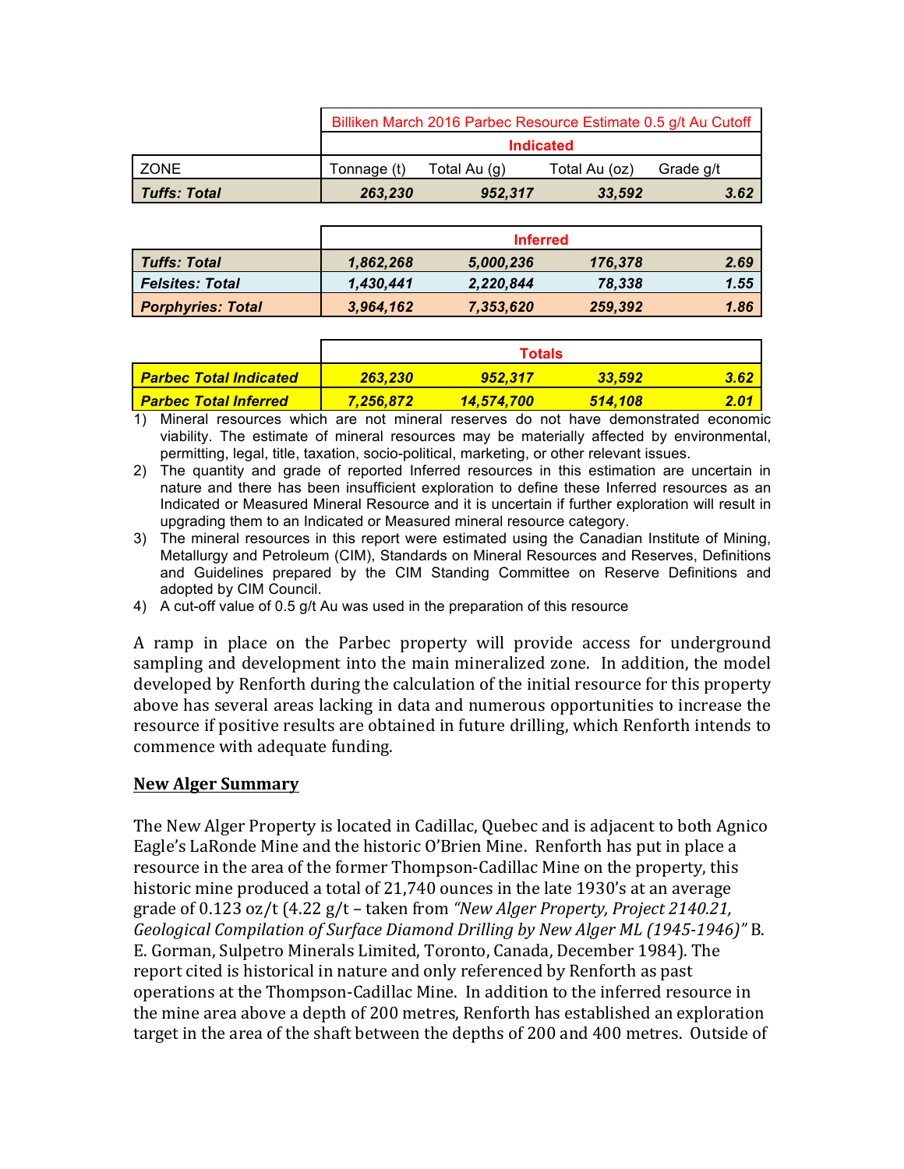|              | Billiken March 2016 Parbec Resource Estimate 0.5 g/t Au Cutoff<br><b>Indicated</b> |              |               |           |
|--------------|------------------------------------------------------------------------------------|--------------|---------------|-----------|
|              |                                                                                    |              |               |           |
| I ZONE       | Tonnage (t)                                                                        | Total Au (g) | Total Au (oz) | Grade g/t |
| Tuffs: Total | 263,230                                                                            | 952,317      | 33,592        | 3.62      |

|                          | <b>Inferred</b> |           |         |      |
|--------------------------|-----------------|-----------|---------|------|
| <b>Tuffs: Total</b>      | 1,862,268       | 5,000,236 | 176,378 | 2.69 |
| <b>Felsites: Total</b>   | 1,430,441       | 2,220,844 | 78.338  | 1.55 |
| <b>Porphyries: Total</b> | 3,964,162       | 7,353,620 | 259,392 | 1.86 |

|                                 | <b>Totals</b> |            |         |      |
|---------------------------------|---------------|------------|---------|------|
| <u>l Parbec Total Indicated</u> | 263,230       | 952.317    | 33,592  | 3.62 |
| <u>l Parbec Total Inferred </u> | 7.256.872     | 14,574.700 | 514.108 | 2.01 |

1) Mineral resources which are not mineral reserves do not have demonstrated economic viability. The estimate of mineral resources may be materially affected by environmental, permitting, legal, title, taxation, socio-political, marketing, or other relevant issues.

2) The quantity and grade of reported Inferred resources in this estimation are uncertain in nature and there has been insufficient exploration to define these Inferred resources as an Indicated or Measured Mineral Resource and it is uncertain if further exploration will result in upgrading them to an Indicated or Measured mineral resource category.

- 3) The mineral resources in this report were estimated using the Canadian Institute of Mining, Metallurgy and Petroleum (CIM), Standards on Mineral Resources and Reserves, Definitions and Guidelines prepared by the CIM Standing Committee on Reserve Definitions and adopted by CIM Council.
- 4) A cut-off value of 0.5 g/t Au was used in the preparation of this resource

A ramp in place on the Parbec property will provide access for underground sampling and development into the main mineralized zone. In addition, the model developed by Renforth during the calculation of the initial resource for this property above has several areas lacking in data and numerous opportunities to increase the resource if positive results are obtained in future drilling, which Renforth intends to commence with adequate funding.

## **New Alger Summary**

The New Alger Property is located in Cadillac, Quebec and is adjacent to both Agnico Eagle's LaRonde Mine and the historic O'Brien Mine. Renforth has put in place a resource in the area of the former Thompson-Cadillac Mine on the property, this historic mine produced a total of 21,740 ounces in the late 1930's at an average grade of  $0.123$  oz/t  $(4.22 g/t - taken from *"New Alger Property, Project 2140.21*,$ *Geological Compilation of Surface Diamond Drilling by New Alger ML (1945-1946)*" B. E. Gorman, Sulpetro Minerals Limited, Toronto, Canada, December 1984). The report cited is historical in nature and only referenced by Renforth as past operations at the Thompson-Cadillac Mine. In addition to the inferred resource in the mine area above a depth of 200 metres, Renforth has established an exploration target in the area of the shaft between the depths of 200 and 400 metres. Outside of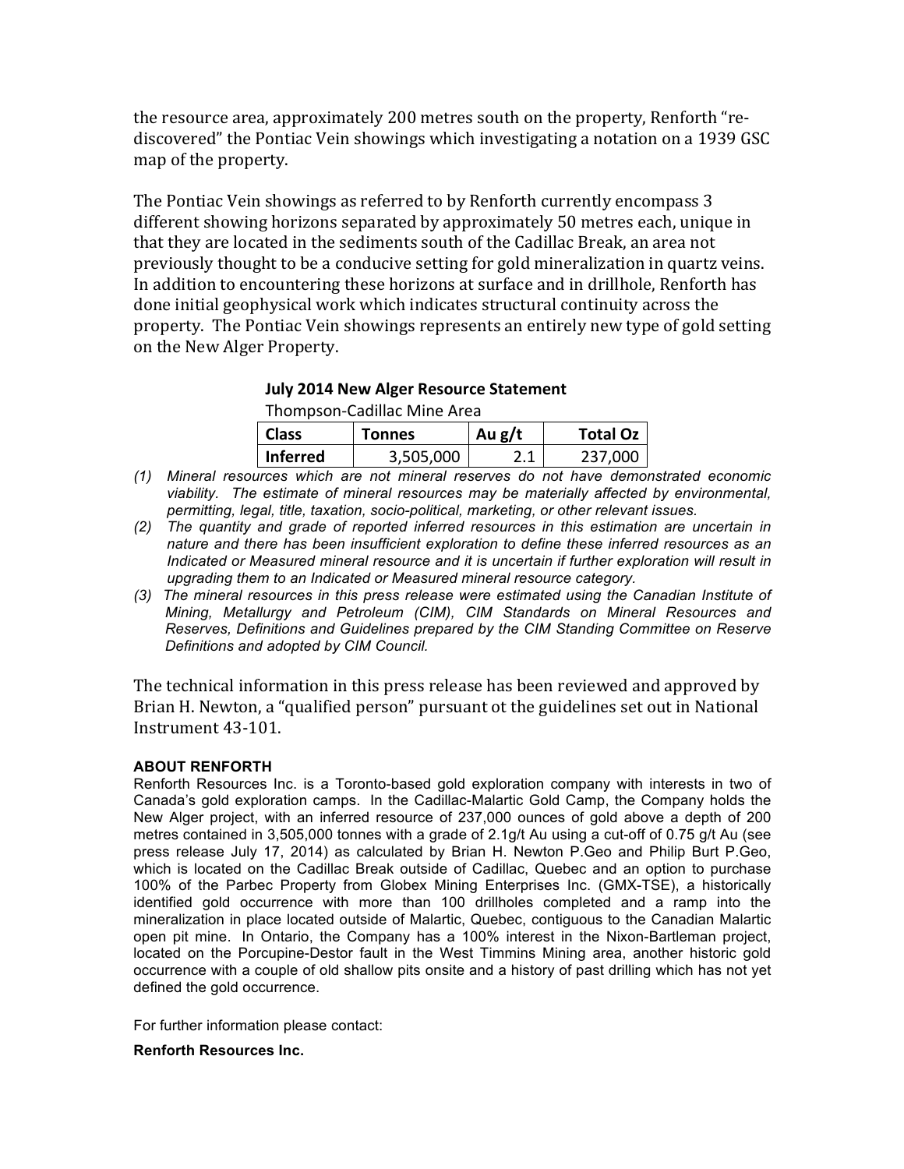the resource area, approximately 200 metres south on the property, Renforth "rediscovered" the Pontiac Vein showings which investigating a notation on a 1939 GSC map of the property.

The Pontiac Vein showings as referred to by Renforth currently encompass 3 different showing horizons separated by approximately 50 metres each, unique in that they are located in the sediments south of the Cadillac Break, an area not previously thought to be a conducive setting for gold mineralization in quartz veins. In addition to encountering these horizons at surface and in drillhole, Renforth has done initial geophysical work which indicates structural continuity across the property. The Pontiac Vein showings represents an entirely new type of gold setting on the New Alger Property.

### **July 2014 New Alger Resource Statement**

Thompson-Cadillac Mine Area

| <b>Class</b> | Tonnes    | Au $g/t$ | <b>Total Oz</b> |
|--------------|-----------|----------|-----------------|
| Inferred     | 3,505,000 |          | 237.000         |

- *(1) Mineral resources which are not mineral reserves do not have demonstrated economic viability. The estimate of mineral resources may be materially affected by environmental, permitting, legal, title, taxation, socio-political, marketing, or other relevant issues.*
- *(2) The quantity and grade of reported inferred resources in this estimation are uncertain in nature and there has been insufficient exploration to define these inferred resources as an Indicated or Measured mineral resource and it is uncertain if further exploration will result in upgrading them to an Indicated or Measured mineral resource category.*
- *(3) The mineral resources in this press release were estimated using the Canadian Institute of Mining, Metallurgy and Petroleum (CIM), CIM Standards on Mineral Resources and Reserves, Definitions and Guidelines prepared by the CIM Standing Committee on Reserve Definitions and adopted by CIM Council.*

The technical information in this press release has been reviewed and approved by Brian H. Newton, a "qualified person" pursuant ot the guidelines set out in National Instrument 43-101.

#### **ABOUT RENFORTH**

Renforth Resources Inc. is a Toronto-based gold exploration company with interests in two of Canada's gold exploration camps. In the Cadillac-Malartic Gold Camp, the Company holds the New Alger project, with an inferred resource of 237,000 ounces of gold above a depth of 200 metres contained in 3,505,000 tonnes with a grade of 2.1g/t Au using a cut-off of 0.75 g/t Au (see press release July 17, 2014) as calculated by Brian H. Newton P.Geo and Philip Burt P.Geo, which is located on the Cadillac Break outside of Cadillac, Quebec and an option to purchase 100% of the Parbec Property from Globex Mining Enterprises Inc. (GMX-TSE), a historically identified gold occurrence with more than 100 drillholes completed and a ramp into the mineralization in place located outside of Malartic, Quebec, contiguous to the Canadian Malartic open pit mine. In Ontario, the Company has a 100% interest in the Nixon-Bartleman project, located on the Porcupine-Destor fault in the West Timmins Mining area, another historic gold occurrence with a couple of old shallow pits onsite and a history of past drilling which has not yet defined the gold occurrence.

For further information please contact:

#### **Renforth Resources Inc.**